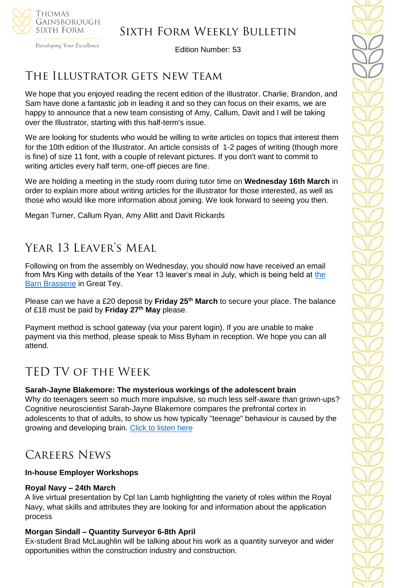

Developing Your Excellence

Edition Number: 53

# The Illustrator gets new team

We hope that you enjoyed reading the recent edition of the Illustrator. Charlie, Brandon, and Sam have done a fantastic job in leading it and so they can focus on their exams, we are happy to announce that a new team consisting of Amy, Callum, Davit and I will be taking over the Illustrator, starting with this half-term's issue.

We are looking for students who would be willing to write articles on topics that interest them for the 10th edition of the Illustrator. An article consists of 1-2 pages of writing (though more is fine) of size 11 font, with a couple of relevant pictures. If you don't want to commit to writing articles every half term, one-off pieces are fine.

We are holding a meeting in the study room during tutor time on **Wednesday 16th March** in order to explain more about writing articles for the illustrator for those interested, as well as those who would like more information about joining. We look forward to seeing you then.

Megan Turner, Callum Ryan, Amy Allitt and Davit Rickards

# YEAR 13 LEAVER'S MEAL

Following on from the assembly on Wednesday, you should now have received an email from Mrs King with details of [the](thebarnbrasserie.co.uk) Year 13 leaver's meal in July, which is being held at the **[Barn Brasserie](thebarnbrasserie.co.uk) in Great Tey.** 

Please can we have a £20 deposit by **Friday 25th March** to secure your place. The balance of £18 must be paid by **Friday 27th May** please.

Payment method is school gateway (via your parent login). If you are unable to make payment via this method, please speak to Miss Byham in reception. We hope you can all attend.

# TED TV of the Week

# **Sarah-Jayne Blakemore: The mysterious workings of the adolescent brain**

Why do teenagers seem so much more impulsive, so much less self-aware than grown-ups? Cognitive neuroscientist Sarah-Jayne Blakemore compares the prefrontal cortex in adolescents to that of adults, to show us how typically "teenage" behaviour is caused by the growing and developing brain. [Click to listen here](https://www.ted.com/talks/sarah_jayne_blakemore_the_mysterious_workings_of_the_adolescent_brain?language=en)

# Careers News

# **In-house Employer Workshops**

#### **Royal Navy – 24th March**

A live virtual presentation by Cpl Ian Lamb highlighting the variety of roles within the Royal Navy, what skills and attributes they are looking for and information about the application process

# **Morgan Sindall – Quantity Surveyor 6-8th April**

Ex-student Brad McLaughlin will be talking about his work as a quantity surveyor and wider opportunities within the construction industry and construction.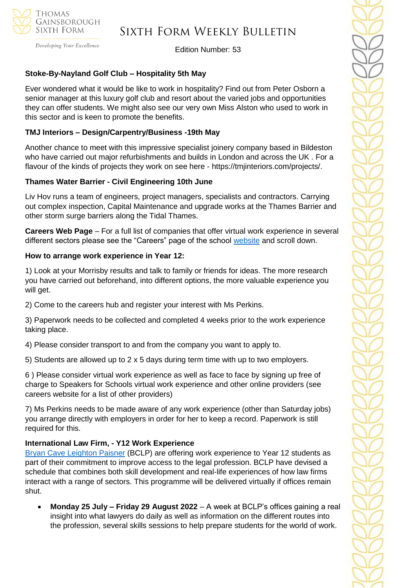

# Sixth Form Weekly Bulletin

Edition Number: 53

# **Stoke-By-Nayland Golf Club – Hospitality 5th May**

Ever wondered what it would be like to work in hospitality? Find out from Peter Osborn a senior manager at this luxury golf club and resort about the varied jobs and opportunities they can offer students. We might also see our very own Miss Alston who used to work in this sector and is keen to promote the benefits.

# **TMJ Interiors – Design/Carpentry/Business -19th May**

Another chance to meet with this impressive specialist joinery company based in Bildeston who have carried out major refurbishments and builds in London and across the UK . For a flavour of the kinds of projects they work on see here - https://tmjinteriors.com/projects/.

### **Thames Water Barrier - Civil Engineering 10th June**

Liv Hov runs a team of engineers, project managers, specialists and contractors. Carrying out complex inspection, Capital Maintenance and upgrade works at the Thames Barrier and other storm surge barriers along the Tidal Thames.

**Careers Web Page** – For a full list of companies that offer virtual work experience in several different sectors please see the "Careers" page of the school [website](https://tgschool.net/careers) and scroll down.

#### **How to arrange work experience in Year 12:**

1) Look at your Morrisby results and talk to family or friends for ideas. The more research you have carried out beforehand, into different options, the more valuable experience you will get.

2) Come to the careers hub and register your interest with Ms Perkins.

3) Paperwork needs to be collected and completed 4 weeks prior to the work experience taking place.

4) Please consider transport to and from the company you want to apply to.

5) Students are allowed up to 2 x 5 days during term time with up to two employers.

6 ) Please consider virtual work experience as well as face to face by signing up free of charge to Speakers for Schools virtual work experience and other online providers (see careers website for a list of other providers)

7) Ms Perkins needs to be made aware of any work experience (other than Saturday jobs) you arrange directly with employers in order for her to keep a record. Paperwork is still required for this.

# **International Law Firm, - Y12 Work Experience**

[Bryan Cave Leighton Paisner](https://nam12.safelinks.protection.outlook.com/?url=https%3A%2F%2Fmykindacrowd.us6.list-manage.com%2Ftrack%2Fclick%3Fu%3Ded0d3c8306048bd1aa89fb8aa%26id%3Dd4b5888e23%26e%3D6a71ef3d64&data=04%7C01%7C%7Ca42d6fcdb3294051de3a08da0035846a%7C84df9e7fe9f640afb435aaaaaaaaaaaa%7C1%7C0%7C637822527094728893%7CUnknown%7CTWFpbGZsb3d8eyJWIjoiMC4wLjAwMDAiLCJQIjoiV2luMzIiLCJBTiI6Ik1haWwiLCJXVCI6Mn0%3D%7C3000&sdata=ZDGSKFlvIYYjNkmN9S6ZheP1SMAkGXRalT2hYqJWzmM%3D&reserved=0) (BCLP) are offering work experience to Year 12 students as part of their commitment to improve access to the legal profession. BCLP have devised a schedule that combines both skill development and real-life experiences of how law firms interact with a range of sectors. This programme will be delivered virtually if offices remain shut.

• **Monday 25 July – Friday 29 August 2022** – A week at BCLP's offices gaining a real insight into what lawyers do daily as well as information on the different routes into the profession, several skills sessions to help prepare students for the world of work.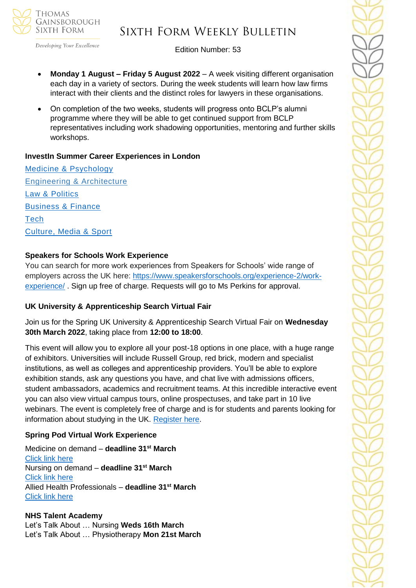

# Sixth Form Weekly Bulletin

Edition Number: 53

- **Monday 1 August – Friday 5 August 2022** A week visiting different organisation each day in a variety of sectors. During the week students will learn how law firms interact with their clients and the distinct roles for lawyers in these organisations.
- On completion of the two weeks, students will progress onto BCLP's alumni programme where they will be able to get continued support from BCLP representatives including work shadowing opportunities, mentoring and further skills workshops.

# **InvestIn Summer Career Experiences in London**

[Medicine & Psychology](https://investin.org/pages/choose-your-medicine-summer-experience) [Engineering & Architecture](https://investin.org/pages/choose-your-engineering-architecture-summer-experience) [Law & Politics](https://investin.org/pages/choose-your-law-politics-summer-experience) [Business & Finance](https://investin.org/pages/choose-your-business-finance-summer-experience) **[Tech](https://investin.org/pages/choose-your-tech-summer-experience)** [Culture, Media & Sport](https://investin.org/pages/choose-your-culture-media-sport-summer-experience)

# **Speakers for Schools Work Experience**

You can search for more work experiences from Speakers for Schools' wide range of employers across the UK here: [https://www.speakersforschools.org/experience-2/work](https://www.speakersforschools.org/experience-2/work-experience/)[experience/](https://www.speakersforschools.org/experience-2/work-experience/) . Sign up free of charge. Requests will go to Ms Perkins for approval.

#### **UK University & Apprenticeship Search Virtual Fair**

Join us for the Spring UK University & Apprenticeship Search Virtual Fair on **Wednesday 30th March 2022**, taking place from **12:00 to 18:00**.

This event will allow you to explore all your post-18 options in one place, with a huge range of exhibitors. Universities will include Russell Group, red brick, modern and specialist institutions, as well as colleges and apprenticeship providers. You'll be able to explore exhibition stands, ask any questions you have, and chat live with admissions officers, student ambassadors, academics and recruitment teams. At this incredible interactive event you can also view virtual campus tours, online prospectuses, and take part in 10 live webinars. The event is completely free of charge and is for students and parents looking for information about studying in the UK. [Register here.](https://ukunisearch.vfairs.com/en/registration)

# **Spring Pod Virtual Work Experience**

Medicine on demand – **deadline 31st March** [Click link here](https://www.springpod.com/virtual-work-experience/health-education-england-medicine-online-work-related-learning?utm_source=febpdf&utm_medium=email&utm_campaign=vwex&utm_term=vwex_febpdf&utm_content=vwex_febpdf_medicine_hee) Nursing on demand – **deadline 31st March** [Click link here](https://www.springpod.com/virtual-work-experience/health-education-england-nursing-online-work-related-learning?utm_source=febpdf&utm_medium=email&utm_campaign=vwex&utm_term=vwex_febpdf&utm_content=vwex_febpdf_nursing_hee) Allied Health Professionals – **deadline 31st March** [Click link here](https://www.springpod.com/virtual-work-experience/allied-health-professional-online-work-related-learning?utm_source=febpdf&utm_medium=email&utm_campaign=vwex&utm_term=vwex_febpdf&utm_content=vwex_febpdf_ahp_on_demand)

#### **NHS Talent Academy**

Let's Talk About … Nursing **Weds 16th March** Let's Talk About … Physiotherapy **Mon 21st March**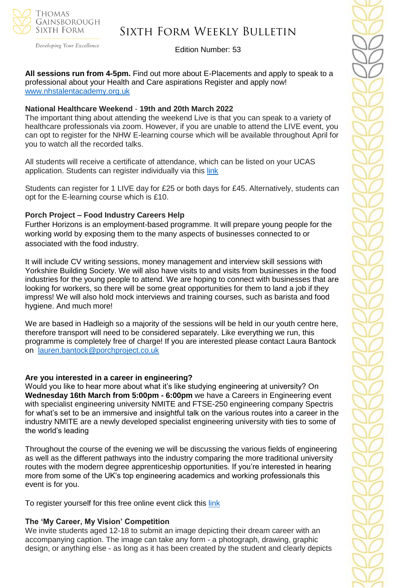

# Sixth Form Weekly Bulletin

Edition Number: 53

**All sessions run from 4-5pm.** Find out more about E-Placements and apply to speak to a professional about your Health and Care aspirations Register and apply now! [www.nhstalentacademy.org.uk](file://///tgs-sr-data/Staff%20Shared-N/Sixth%20Form/Admin/Weekly%20Bulletin/www.nhstalentacademy.org.uk)

#### **National Healthcare Weekend** - **19th and 20th March 2022**

The important thing about attending the weekend Live is that you can speak to a variety of healthcare professionals via zoom. However, if you are unable to attend the LIVE event, you can opt to register for the NHW E-learning course which will be available throughout April for you to watch all the recorded talks.

All students will receive a certificate of attendance, which can be listed on your UCAS application. Students can register individually via this [link](https://alliedhealthmentor.org/national-healthcare-weekend/)

Students can register for 1 LIVE day for £25 or both days for £45. Alternatively, students can opt for the E-learning course which is £10.

#### **Porch Project – Food Industry Careers Help**

Further Horizons is an employment-based programme. It will prepare young people for the working world by exposing them to the many aspects of businesses connected to or associated with the food industry.

It will include CV writing sessions, money management and interview skill sessions with Yorkshire Building Society. We will also have visits to and visits from businesses in the food industries for the young people to attend. We are hoping to connect with businesses that are looking for workers, so there will be some great opportunities for them to land a job if they impress! We will also hold mock interviews and training courses, such as barista and food hygiene. And much more!

We are based in Hadleigh so a majority of the sessions will be held in our youth centre here, therefore transport will need to be considered separately. Like everything we run, this programme is completely free of charge! If you are interested please contact Laura Bantock on [lauren.bantock@porchproject.co.uk](mailto:lauren.bantock@porchproject.co.uk)

#### **Are you interested in a career in engineering?**

Would you like to hear more about what it's like studying engineering at university? On **Wednesday 16th March from 5:00pm - 6:00pm** we have a Careers in Engineering event with specialist engineering university NMITE and FTSE-250 engineering company Spectris for what's set to be an immersive and insightful talk on the various routes into a career in the industry NMITE are a newly developed specialist engineering university with ties to some of the world's leading

Throughout the course of the evening we will be discussing the various fields of engineering as well as the different pathways into the industry comparing the more traditional university routes with the modern degree apprenticeship opportunities. If you're interested in hearing more from some of the UK's top engineering academics and working professionals this event is for you.

To register yourself for this free online event click this [link](https://www.surveymonkey.co.uk/r/Engineering-Event)

#### **The 'My Career, My Vision' Competition**

We invite students aged 12-18 to submit an image depicting their dream career with an accompanying caption. The image can take any form - a photograph, drawing, graphic design, or anything else - as long as it has been created by the student and clearly depicts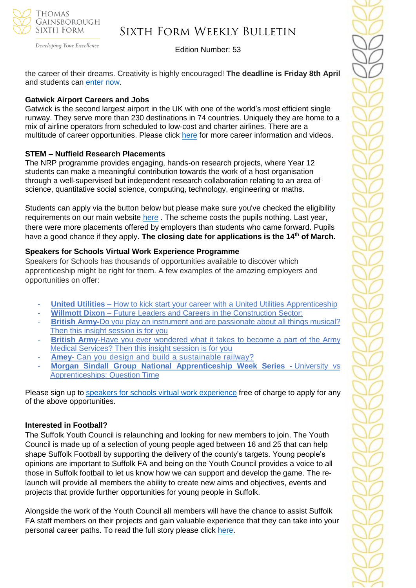

# Sixth Form Weekly Bulletin

Edition Number: 53

the career of their dreams. Creativity is highly encouraged! **The deadline is Friday 8th April**  and students can [enter now.](https://investin.org/blogs/news/careers-week-competition?utm_source=UK+SCHOOLS+MASTER&utm_campaign=9d91cb935c-bankersschoolmar_COPY_01&utm_medium=email&utm_term=0_bfccb03bbd-9d91cb935c-137697031&mc_cid=9d91cb935c&mc_eid=894e4199ae)

### **Gatwick Airport Careers and Jobs**

Gatwick is the second largest airport in the UK with one of the world's most efficient single runway. They serve more than 230 destinations in 74 countries. Uniquely they are home to a mix of airline operators from scheduled to low-cost and charter airlines. There are a multitude of career opportunities. Please click [here](https://learnliveuk.com/partner/gatwick-airport-careers/) for more career information and videos.

# **STEM – Nuffield Research Placements**

The NRP programme provides engaging, hands-on research projects, where Year 12 students can make a meaningful contribution towards the work of a host organisation through a well-supervised but independent research collaboration relating to an area of science, quantitative social science, computing, technology, engineering or maths.

Students can apply via the button below but please make sure you've checked the eligibility requirements on our main website [here](https://www.stem.org.uk/nuffield-research-placements) . The scheme costs the pupils nothing. Last year, there were more placements offered by employers than students who came forward. Pupils have a good chance if they apply. **The closing date for applications is the 14th of March.**

### **Speakers for Schools Virtual Work Experience Programme**

Speakers for Schools has thousands of opportunities available to discover which apprenticeship might be right for them. A few examples of the amazing employers and opportunities on offer:

- **United Utilities** How to kick start your career with a United Utilities [Apprenticeship](https://www.s4snextgen.org/Opportunities/View/id/2416)
- **Willmott Dixon** Future Leaders and Careers in the [Construction](https://www.s4snextgen.org/Opportunities/View/id/2536) Sector:
- **British Army-**Do you play an instrument and are [passionate](http://www.s4snextgen.org/Opportunities/View/id/2513) about all things musical? Then this insight [session](http://www.s4snextgen.org/Opportunities/View/id/2513) is for you
- **British Army-Have you ever [wondered](https://www.s4snextgen.org/Opportunities/View/id/2514) what it takes to become a part of the Army** Medical [Services?](https://www.s4snextgen.org/Opportunities/View/id/2514) Then this insight session is for you
- Amey- Can you design and build a [sustainable](http://www.s4snextgen.org/Opportunities/View/id/2189) railway?
- **Morgan Sindall Group National [Apprenticeship](http://www.s4snextgen.org/Opportunities/View/id/2506) Week Series -** University vs [Apprenticeships:](http://www.s4snextgen.org/Opportunities/View/id/2506) Question Time

Please sign up to speakers for schools virtual work [experience](https://www.speakersforschools.org/experience-2/) free of charge to apply for any of the above opportunities.

# **Interested in Football?**

The Suffolk Youth Council is relaunching and looking for new members to join. The Youth Council is made up of a selection of young people aged between 16 and 25 that can help shape Suffolk Football by supporting the delivery of the county's targets. Young people's opinions are important to Suffolk FA and being on the Youth Council provides a voice to all those in Suffolk football to let us know how we can support and develop the game. The relaunch will provide all members the ability to create new aims and objectives, events and projects that provide further opportunities for young people in Suffolk.

Alongside the work of the Youth Council all members will have the chance to assist Suffolk FA staff members on their projects and gain valuable experience that they can take into your personal career paths. To read the full story please click [here.](https://www.suffolkfa.com/news/2022/feb/11/sfa-youth-council-is-relaunching)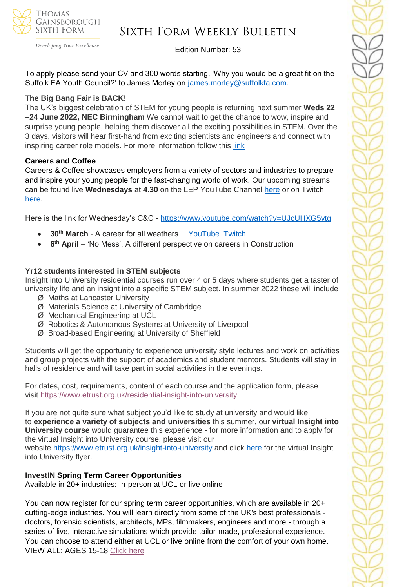

# Sixth Form Weekly Bulletin

Edition Number: 53

To apply please send your CV and 300 words starting, 'Why you would be a great fit on the Suffolk FA Youth Council?' to James Morley on [james.morley@suffolkfa.com.](mailto:james.morley@suffolkfa.com)

#### **The Big Bang Fair is BACK!**

The UK's biggest celebration of STEM for young people is returning next summer **Weds 22 –24 June 2022, NEC Birmingham** We cannot wait to get the chance to wow, inspire and surprise young people, helping them discover all the exciting possibilities in STEM. Over the 3 days, visitors will hear first-hand from exciting scientists and engineers and connect with inspiring career role models. For more information follow this [link](https://www.thebigbang.org.uk/)

#### **Careers and Coffee**

Careers & Coffee showcases employers from a variety of sectors and industries to prepare and inspire your young people for the fast-changing world of work. Our upcoming streams can be found live **Wednesdays** at **4.30** on the LEP YouTube Channel [here](https://emea01.safelinks.protection.outlook.com/?url=https%3A%2F%2Fwww.youtube.com%2Fchannel%2FUCMQWGt6SdsGQF-KJCq7JTwQ&data=04%7C01%7C%7C4c6c44ecc3fb4f20ff7908d9db3b3618%7C84df9e7fe9f640afb435aaaaaaaaaaaa%7C1%7C0%7C637781869767327633%7CUnknown%7CTWFpbGZsb3d8eyJWIjoiMC4wLjAwMDAiLCJQIjoiV2luMzIiLCJBTiI6Ik1haWwiLCJXVCI6Mn0%3D%7C3000&sdata=jcnjPssNA6CGryLNqRJMQzfb7UnLUOJ3WUdL%2FnQhejw%3D&reserved=0) or on Twitch [here.](https://emea01.safelinks.protection.outlook.com/?url=https%3A%2F%2Fwww.twitch.tv%2FNewAngliaEAN&data=04%7C01%7C%7C4c6c44ecc3fb4f20ff7908d9db3b3618%7C84df9e7fe9f640afb435aaaaaaaaaaaa%7C1%7C0%7C637781869767327633%7CUnknown%7CTWFpbGZsb3d8eyJWIjoiMC4wLjAwMDAiLCJQIjoiV2luMzIiLCJBTiI6Ik1haWwiLCJXVCI6Mn0%3D%7C3000&sdata=%2BC%2F2NVk7rCN9nN0gPB86AdBavn%2BdywBz%2FR1nbIo0XG8%3D&reserved=0)

Here is the link for Wednesday's C&C - [https://www.youtube.com/watch?v=UJcUHXG5vtg](https://emea01.safelinks.protection.outlook.com/?url=https%3A%2F%2Fwww.youtube.com%2Fwatch%3Fv%3DUJcUHXG5vtg&data=04%7C01%7C%7C4c6c44ecc3fb4f20ff7908d9db3b3618%7C84df9e7fe9f640afb435aaaaaaaaaaaa%7C1%7C0%7C637781869767327633%7CUnknown%7CTWFpbGZsb3d8eyJWIjoiMC4wLjAwMDAiLCJQIjoiV2luMzIiLCJBTiI6Ik1haWwiLCJXVCI6Mn0%3D%7C3000&sdata=QmwZMfWApfz3NYzqKGZdNMm6DnYKNSnpPCkWXQ5qlMw%3D&reserved=0)

- **30th March** A career for all weathers… YouTube [Twitch](https://emea01.safelinks.protection.outlook.com/?url=https%3A%2F%2Fwww.twitch.tv%2FNewAngliaEAN&data=04%7C01%7C%7C4c6c44ecc3fb4f20ff7908d9db3b3618%7C84df9e7fe9f640afb435aaaaaaaaaaaa%7C1%7C0%7C637781869767327633%7CUnknown%7CTWFpbGZsb3d8eyJWIjoiMC4wLjAwMDAiLCJQIjoiV2luMzIiLCJBTiI6Ik1haWwiLCJXVCI6Mn0%3D%7C3000&sdata=%2BC%2F2NVk7rCN9nN0gPB86AdBavn%2BdywBz%2FR1nbIo0XG8%3D&reserved=0)
- **6<sup>th</sup> April** 'No Mess'. A different perspective on careers in Construction

#### **Yr12 students interested in STEM subjects**

Insight into University residential courses run over 4 or 5 days where students get a taster of university life and an insight into a specific STEM subject. In summer 2022 these will include

- Ø Maths at Lancaster University
- Ø Materials Science at University of Cambridge
- Ø Mechanical Engineering at UCL
- Ø Robotics & Autonomous Systems at University of Liverpool
- Ø Broad-based Engineering at University of Sheffield

Students will get the opportunity to experience university style lectures and work on activities and group projects with the support of academics and student mentors. Students will stay in halls of residence and will take part in social activities in the evenings.

For dates, cost, requirements, content of each course and the application form, please visit <https://www.etrust.org.uk/residential-insight-into-university>

If you are not quite sure what subject you'd like to study at university and would like to **experience a variety of subjects and universities** this summer, our **virtual Insight into University course** would guarantee this experience - for more information and to apply for the virtual Insight into University course, please visit our

website <https://www.etrust.org.uk/insight-into-university> and click [here](https://dd233f6a-c442-4437-a8e1-9e42987b6020.filesusr.com/ugd/4517c8_fcb7add322ae4a1eab2156347e1f2442.pdf) for the virtual Insight into University flyer.

#### **InvestIN Spring Term Career Opportunities**

Available in 20+ industries: In-person at UCL or live online

You can now register for our spring term career opportunities, which are available in 20+ cutting-edge industries. You will learn directly from some of the UK's best professionals doctors, forensic scientists, architects, MPs, filmmakers, engineers and more - through a series of live, interactive simulations which provide tailor-made, professional experience. You can choose to attend either at UCL or live online from the comfort of your own home. VIEW ALL: AGES 15-18 [Click here](https://investin.org/pages/spring-term-career-programmes-15-18?utm_source=UK+SCHOOLS+MASTER&utm_campaign=3b31a67736-bankersschoolmar_COPY_01&utm_medium=email&utm_term=0_bfccb03bbd-3b31a67736-137697031&mc_cid=3b31a67736&mc_eid=894e4199ae)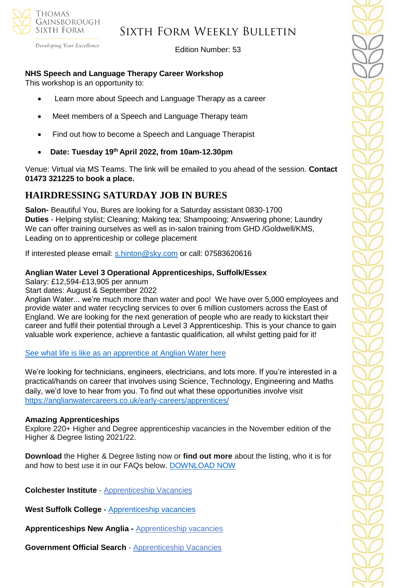

Developing Your Excellence

Edition Number: 53

# **NHS Speech and Language Therapy Career Workshop**

This workshop is an opportunity to:

- Learn more about Speech and Language Therapy as a career
- Meet members of a Speech and Language Therapy team
- Find out how to become a Speech and Language Therapist
- **Date: Tuesday 19th April 2022, from 10am-12.30pm**

Venue: Virtual via MS Teams. The link will be emailed to you ahead of the session. **Contact 01473 321225 to book a place.**

# **HAIRDRESSING SATURDAY JOB IN BURES**

**Salon-** Beautiful You, Bures are looking for a Saturday assistant 0830-1700 **Duties** - Helping stylist; Cleaning; Making tea; Shampooing; Answering phone; Laundry We can offer training ourselves as well as in-salon training from GHD /Goldwell/KMS, Leading on to apprenticeship or college placement

If interested please email: [s.hinton@sky.com](mailto:s.hinton@sky.com) or call: 07583620616

### **Anglian Water Level 3 Operational Apprenticeships, Suffolk/Essex**

Salary: £12,594-£13,905 per annum

Start dates: August & September 2022

Anglian Water... we're much more than water and poo! We have over 5,000 employees and provide water and water recycling services to over 6 million customers across the East of England. We are looking for the next generation of people who are ready to kickstart their career and fulfil their potential through a Level 3 Apprenticeship. This is your chance to gain valuable work experience, achieve a fantastic qualification, all whilst getting paid for it!

[See what life is like as an apprentice at Anglian](https://youtu.be/ocHab1ZNOjA) Water here

We're looking for technicians, engineers, electricians, and lots more. If you're interested in a practical/hands on career that involves using Science, Technology, Engineering and Maths daily, we'd love to hear from you. To find out what these opportunities involve visit <https://anglianwatercareers.co.uk/early-careers/apprentices/>

# **Amazing Apprenticeships**

Explore 220+ Higher and Degree apprenticeship vacancies in the November edition of the Higher & Degree listing 2021/22.

**Download** the Higher & Degree listing now or **find out more** about the listing, who it is for and how to best use it in our FAQs below. [DOWNLOAD NOW](https://amazingapprenticeships.com/resource/higher-and-degree-listing/)

**Colchester Institute** - Apprenticeship Vacancies

**West Suffolk College -** [Apprenticeship vacancies](https://www.wsc.ac.uk/find-a-course/apprenticeships)

**Apprenticeships New Anglia -** [Apprenticeship vacancies](https://www.apprenticeshipsnewanglia.co.uk/)

**Government Official Search** - [Apprenticeship Vacancies](https://www.gov.uk/apply-apprenticeship)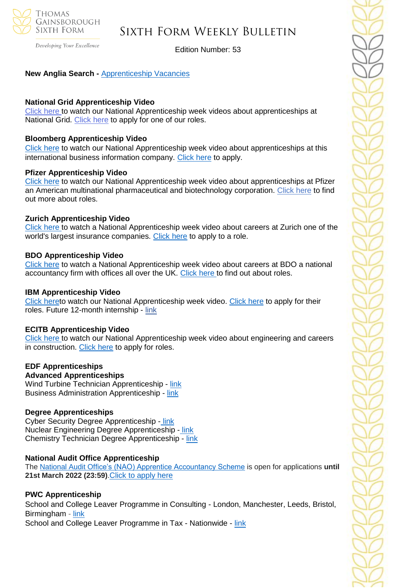

Developing Your Excellence

Edition Number: 53

### **New Anglia Search -** [Apprenticeship Vacancies](https://v2.apprenticeshipsnewanglia.co.uk/apprenticeships/search/?s_query=&s_location=&s_distance=30&s_trade=0&s_apprenticeshipLevel=0&prop_View=list&prop_sort=created+desc)

#### **National Grid Apprenticeship Video**

[Click here t](https://careermap.co.uk/video/naw2022-national-grid-shape-the-future-of-energy-with-national-grid/)o watch our National Apprenticeship week videos about apprenticeships at National Grid. [Click here](https://www.nationalapprenticeshipweek.co.uk/company/national-grid/) to apply for one of our roles.

#### **Bloomberg Apprenticeship Video**

[Click here](https://careermap.co.uk/video/naw2022-bloomberg-apprenticeships-at-bloomberg-how-to-submit-a-winning-application/) to watch our National Apprenticeship week video about apprenticeships at this international business information company. [Click here](https://www.nationalapprenticeshipweek.co.uk/company/bloomberg/) to apply.

#### **Pfizer Apprenticeship Video**

[Click here](https://careermap.co.uk/video/naw2022-pfizer-join-our-apprenticeship-programme-and-make-a-difference/) to watch our National Apprenticeship week video about apprenticeships at Pfizer an American multinational pharmaceutical and biotechnology corporation. [Click here](https://www.nationalapprenticeshipweek.co.uk/company/pfizer/) to find out more about roles.

#### **Zurich Apprenticeship Video**

[Click here t](https://careermap.co.uk/video/naw2022-zurich-apprenticeship-insight-session/)o watch a National Apprenticeship week video about careers at Zurich one of the world's largest insurance companies. [Click here](https://www.nationalapprenticeshipweek.co.uk/company/zurich/) to apply to a role.

#### **BDO Apprenticeship Video**

[Click here](https://careermap.co.uk/video/naw2022-bdo-unravelling-the-mysteries-of-accountancy-as-a-profession/) to watch a National Apprenticeship week video about careers at BDO a national accountancy firm with offices all over the UK. [Click here t](https://www.bdoearlyincareer.co.uk/apprenticeship/?utm_source=CareerMap&utm_medium=Profile&utm_campaign=33_3951_EarlyCareers21-22&utm_term=1x1&utm_content=SchoolLeaver_EmployerProfile)o find out about roles.

#### **IBM Apprenticeship Video**

[Click heret](https://careermap.co.uk/video/naw2022-ibm-discover-apprenticeships-at-ibm/)o watch our National Apprenticeship week video. [Click here](https://www.nationalapprenticeshipweek.co.uk/company/ibm/) to apply for their roles. Future 12-month internship - [link](https://successatschool.us3.list-manage.com/track/click?u=2c038531b25876a2c7c9cf8b1&id=a77a2d64dd&e=530f418f3c)

#### **ECITB Apprenticeship Video**

[Click here t](https://careermap.co.uk/video/naw2022-ecitb-careers-in-engineering-construction-engineering-the-future/)o watch our National Apprenticeship week video about engineering and careers in construction. [Click here](https://www.nationalapprenticeshipweek.co.uk/company/ecitb/) to apply for roles.

# **EDF Apprenticeships**

**Advanced Apprenticeships** Wind Turbine Technician Apprenticeship - [link](https://successatschool.us3.list-manage.com/track/click?u=2c038531b25876a2c7c9cf8b1&id=23cc398a82&e=530f418f3c) Business Administration Apprenticeship - [link](https://successatschool.us3.list-manage.com/track/click?u=2c038531b25876a2c7c9cf8b1&id=913e6195c6&e=530f418f3c)

# **Degree Apprenticeships**

Cyber Security Degree Apprenticeship [-](https://successatschool.us3.list-manage.com/track/click?u=2c038531b25876a2c7c9cf8b1&id=7600050546&e=530f418f3c) [link](https://successatschool.us3.list-manage.com/track/click?u=2c038531b25876a2c7c9cf8b1&id=e8dfed7191&e=530f418f3c) Nuclear Engineering Degree Apprenticeship - [link](https://successatschool.us3.list-manage.com/track/click?u=2c038531b25876a2c7c9cf8b1&id=b2a0f62f03&e=530f418f3c) Chemistry Technician Degree Apprenticeship - [link](https://successatschool.us3.list-manage.com/track/click?u=2c038531b25876a2c7c9cf8b1&id=6c0fd2d406&e=530f418f3c)

#### **National Audit Office Apprenticeship**

The [National Audit Office's \(NAO\) Apprentice Accountancy Scheme](https://nam12.safelinks.protection.outlook.com/?url=https%3A%2F%2Fsuccessatschool.us3.list-manage.com%2Ftrack%2Fclick%3Fu%3D2c038531b25876a2c7c9cf8b1%26id%3D7d31aee542%26e%3D530f418f3c&data=04%7C01%7C%7Ce20f21983b15418e040508d9faa77d5e%7C84df9e7fe9f640afb435aaaaaaaaaaaa%7C1%7C0%7C637816419545507260%7CUnknown%7CTWFpbGZsb3d8eyJWIjoiMC4wLjAwMDAiLCJQIjoiV2luMzIiLCJBTiI6Ik1haWwiLCJXVCI6Mn0%3D%7C3000&sdata=JV9WYVsLMKhmyVlguVlBhqXVN%2BRAvZFr9pO4GpwEETQ%3D&reserved=0) is open for applications **until 21st March 2022 (23:59)**.[Click to apply here](https://successatschool.org/jobandcoursedetail/744/NAO-Accountancy-Apprenticeship-2022?goal=0_65c6d67e71-f5ea1df638-212136547&mc_cid=f5ea1df638&mc_eid=530f418f3c)

# **PWC Apprenticeship**

School and College Leaver Programme in Consulting - London, Manchester, Leeds, Bristol, Birmingham - [link](https://emea01.safelinks.protection.outlook.com/?url=https%3A%2F%2Fsuccessatschool.us3.list-manage.com%2Ftrack%2Fclick%3Fu%3D2c038531b25876a2c7c9cf8b1%26id%3D7c785a403a%26e%3D530f418f3c&data=04%7C01%7C%7C945e830acdbc408b2c5908d9ef9bf91d%7C84df9e7fe9f640afb435aaaaaaaaaaaa%7C1%7C0%7C637804275456334636%7CUnknown%7CTWFpbGZsb3d8eyJWIjoiMC4wLjAwMDAiLCJQIjoiV2luMzIiLCJBTiI6Ik1haWwiLCJXVCI6Mn0%3D%7C3000&sdata=oyMYuDD20pYYYgBCkbj7h8Goi5rCEf3uGHspKO90PR8%3D&reserved=0)

School and College Leaver Programme in Tax - Nationwide - [link](https://emea01.safelinks.protection.outlook.com/?url=https%3A%2F%2Fsuccessatschool.us3.list-manage.com%2Ftrack%2Fclick%3Fu%3D2c038531b25876a2c7c9cf8b1%26id%3Dd7fb685283%26e%3D530f418f3c&data=04%7C01%7C%7C945e830acdbc408b2c5908d9ef9bf91d%7C84df9e7fe9f640afb435aaaaaaaaaaaa%7C1%7C0%7C637804275456490872%7CUnknown%7CTWFpbGZsb3d8eyJWIjoiMC4wLjAwMDAiLCJQIjoiV2luMzIiLCJBTiI6Ik1haWwiLCJXVCI6Mn0%3D%7C3000&sdata=gRswlE1zBGH%2B8Jf5qjxjt%2FcJg3R3aW9xfEtIvqfNwqc%3D&reserved=0)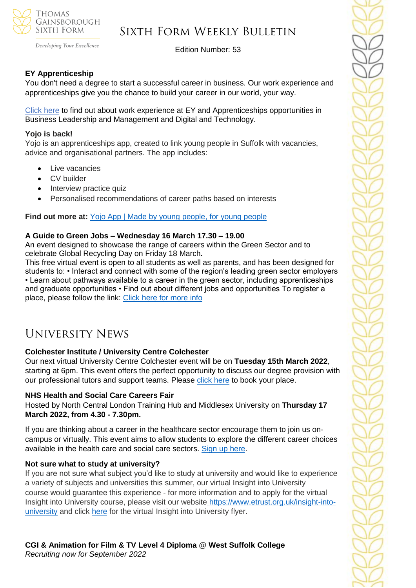

Developing Your Excellence

Edition Number: 53

# **EY Apprenticeship**

You don't need a degree to start a successful career in business. Our work experience and apprenticeships give you the chance to build your career in our world, your way.

[Click here](https://www.ey.com/en_uk/careers/students/programmes/schools) to find out about work experience at EY and Apprenticeships opportunities in Business Leadership and Management and Digital and Technology.

### **Yojo is back!**

Yojo is an apprenticeships app, created to link young people in Suffolk with vacancies, advice and organisational partners. The app includes:

- Live vacancies
- CV builder
- Interview practice quiz
- Personalised recommendations of career paths based on interests

**Find out more at:** [Yojo App | Made by young people, for young people](https://emea01.safelinks.protection.outlook.com/?url=https%3A%2F%2Fyojoapp.co.uk%2F&data=04%7C01%7C%7C4c6c44ecc3fb4f20ff7908d9db3b3618%7C84df9e7fe9f640afb435aaaaaaaaaaaa%7C1%7C0%7C637781869767483855%7CUnknown%7CTWFpbGZsb3d8eyJWIjoiMC4wLjAwMDAiLCJQIjoiV2luMzIiLCJBTiI6Ik1haWwiLCJXVCI6Mn0%3D%7C3000&sdata=9WtYUB305aPkl6q46VQFnWxhGcaNixIyQ7zb9qHytQc%3D&reserved=0)

### **A Guide to Green Jobs – Wednesday 16 March 17.30 – 19.00**

An event designed to showcase the range of careers within the Green Sector and to celebrate Global Recycling Day on Friday 18 March**.** 

This free virtual event is open to all students as well as parents, and has been designed for students to: • Interact and connect with some of the region's leading green sector employers • Learn about pathways available to a career in the green sector, including apprenticeships and graduate opportunities • Find out about different jobs and opportunities To register a place, please follow the link: [Click](https://emea01.safelinks.protection.outlook.com/?url=https%3A%2F%2Fbit.ly%2FFtFInsights7&data=04%7C01%7C%7C9127bcae865c4c677a8908d9ef9bcecd%7C84df9e7fe9f640afb435aaaaaaaaaaaa%7C1%7C0%7C637804274739921040%7CUnknown%7CTWFpbGZsb3d8eyJWIjoiMC4wLjAwMDAiLCJQIjoiV2luMzIiLCJBTiI6Ik1haWwiLCJXVCI6Mn0%3D%7C3000&sdata=vnRS2zEv%2BugMmqsrhENaYNiF6p2I2xWlUfd08Rjng%2BU%3D&reserved=0) here for more info

# University News

# **Colchester Institute / University Centre Colchester**

Our next virtual University Centre Colchester event will be on **Tuesday 15th March 2022**, starting at 6pm. This event offers the perfect opportunity to discuss our degree provision with our professional tutors and support teams. Please [click here](https://www.colchester.ac.uk/events/?f24_pid=db01a9d4-1973-4328-8f22-9e8504b0ca3f&utm_campaign=2022%2002%2018%20-%20Schools%20Update%20-%2088&utm_source=force24&utm_medium=email&utm_content=textlink) to book your place.

# **NHS Health and Social Care Careers Fair**

Hosted by North Central London Training Hub and Middlesex University on **Thursday 17 March 2022, from 4.30 - 7.30pm.** 

If you are thinking about a career in the healthcare sector encourage them to join us oncampus or virtually. This event aims to allow students to explore the different career choices available in the health care and social care sectors. [Sign up here.](https://www.mdx.ac.uk/study-with-us/information-for-schools/resources/nhs-social-care-careers-fair)

#### **Not sure what to study at university?**

If you are not sure what subject you'd like to study at university and would like to experience a variety of subjects and universities this summer, our virtual Insight into University course would guarantee this experience - for more information and to apply for the virtual Insight into University course, please visit our website [https://www.etrust.org.uk/insight-into](https://www.etrust.org.uk/insight-into-university)[university](https://www.etrust.org.uk/insight-into-university) and click [here](https://dd233f6a-c442-4437-a8e1-9e42987b6020.filesusr.com/ugd/4517c8_fcb7add322ae4a1eab2156347e1f2442.pdf) for the virtual Insight into University flyer.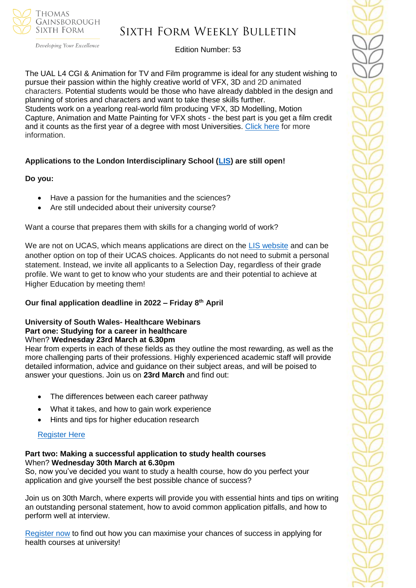

Developing Your Excellence

# Edition Number: 53

The UAL L4 CGI & Animation for TV and Film programme is ideal for any student wishing to pursue their passion within the highly creative world of VFX, 3D and 2D animated characters. Potential students would be those who have already dabbled in the design and planning of stories and characters and want to take these skills further. Students work on a yearlong real-world film producing VFX, 3D Modelling, Motion Capture, Animation and Matte Painting for VFX shots - the best part is you get a film credit and it counts as the first year of a degree with most Universities. [Click here](https://www.wsc.ac.uk/courses/level-4-professional-diplomas/754-level-4/9768-cgi-and-animation-for-tv-and-film-diploma-level-4-22vf394099) for more information.

# **Applications to the London Interdisciplinary School [\(LIS\)](https://emea01.safelinks.protection.outlook.com/?url=https%3A%2F%2Fschools.tecl.co.uk%2Feducationcompany5lz%2Flz.aspx%3Fp1%3DMuzDU3NjA0MjA1Uzk0NzE6NkYwQjdEMTg3QzdEMTdCODZFRjcxMENBNDUyNEYwN0M%253d-%26CC%3D%26w%3D5511&data=04%7C01%7C%7C39fcd5037de64b1f134108d9db3b46e6%7C84df9e7fe9f640afb435aaaaaaaaaaaa%7C1%7C0%7C637781869903019097%7CUnknown%7CTWFpbGZsb3d8eyJWIjoiMC4wLjAwMDAiLCJQIjoiV2luMzIiLCJBTiI6Ik1haWwiLCJXVCI6Mn0%3D%7C3000&sdata=pgQvu53gpi%2Fe%2F8%2BCNPs9L2gikEtVgERhZ9O0%2FbkIqeQ%3D&reserved=0) are still open!**

### **Do you:**

- Have a passion for the humanities and the sciences?
- Are still undecided about their university course?

Want a course that prepares them with skills for a changing world of work?

We are not on UCAS, which means applications are direct on the [LIS website](https://emea01.safelinks.protection.outlook.com/?url=https%3A%2F%2Fschools.tecl.co.uk%2Feducationcompany5lz%2Flz.aspx%3Fp1%3DMuzDU3NjA0MjA1Uzk0NzE6NkYwQjdEMTg3QzdEMTdCODZFRjcxMENBNDUyNEYwN0M%253d-%26CC%3D%26w%3D8515&data=04%7C01%7C%7C39fcd5037de64b1f134108d9db3b46e6%7C84df9e7fe9f640afb435aaaaaaaaaaaa%7C1%7C0%7C637781869903019097%7CUnknown%7CTWFpbGZsb3d8eyJWIjoiMC4wLjAwMDAiLCJQIjoiV2luMzIiLCJBTiI6Ik1haWwiLCJXVCI6Mn0%3D%7C3000&sdata=8Hlbt%2BgSl0U8BdHh3CK1iY0dZPD2WXrFZ8gatSx1i2Q%3D&reserved=0) and can be another option on top of their UCAS choices. Applicants do not need to submit a personal statement. Instead, we invite all applicants to a Selection Day, regardless of their grade profile. We want to get to know who your students are and their potential to achieve at Higher Education by meeting them!

# **Our final application deadline in 2022 – Friday 8th April**

#### **University of South Wales- Healthcare Webinars Part one: Studying for a career in healthcare** When? **Wednesday 23rd March at 6.30pm**

Hear from experts in each of these fields as they outline the most rewarding, as well as the more challenging parts of their professions. Highly experienced academic staff will provide detailed information, advice and guidance on their subject areas, and will be poised to answer your questions. Join us on **23rd March** and find out:

- The differences between each career pathway
- What it takes, and how to gain work experience
- Hints and tips for higher education research

# [Register Here](https://www.eventbrite.co.uk/e/studying-for-a-career-in-healthcare-with-the-university-of-south-wales-tickets-261788595737?aff=odeimcmailchimp&mc_cid=3f24ca3fc0&mc_eid=530f418f3c&goal=0_65c6d67e71-3f24ca3fc0-212136547)

### **Part two: Making a successful application to study health courses** When? **Wednesday 30th March at 6.30pm**

So, now you've decided you want to study a health course, how do you perfect your application and give yourself the best possible chance of success?

Join us on 30th March, where experts will provide you with essential hints and tips on writing an outstanding personal statement, how to avoid common application pitfalls, and how to perform well at interview.

[Register now](https://www.eventbrite.co.uk/e/making-a-successful-application-to-study-health-courses-tickets-261811153207?aff=odeimcmailchimp&mc_cid=3f24ca3fc0&mc_eid=530f418f3c&goal=0_65c6d67e71-3f24ca3fc0-212136547) to find out how you can maximise your chances of success in applying for health courses at university!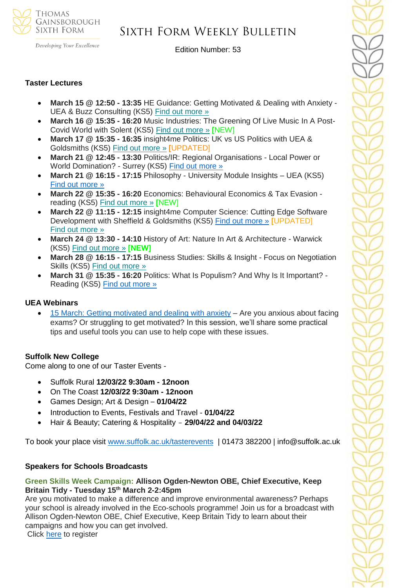

# Sixth Form Weekly Bulletin

Edition Number: 53

#### **Taster Lectures**

- **March 15 @ 12:50 - 13:35** HE Guidance: Getting Motivated & Dealing with Anxiety UEA & Buzz Consulting (KS5) Find out [more](https://channeltalent.us10.list-manage.com/track/click?u=145837fa6843e0c349598322a&id=63dd3662e5&e=155232616c) »
- **March 16 @ 15:35 - 16:20** Music Industries: The Greening Of Live Music In A Post-Covid World with Solent (KS5) Find out [more](https://channeltalent.us10.list-manage.com/track/click?u=145837fa6843e0c349598322a&id=784fc7644d&e=ba0e9a2959) » **[**NEW]
- **March 17 @ 15:35 - 16:35** insight4me Politics: UK vs US Politics with UEA & Goldsmiths (KS5) Find out [more](https://channeltalent.us10.list-manage.com/track/click?u=145837fa6843e0c349598322a&id=6a2f7f7556&e=ba0e9a2959) » **[**UPDATED]
- **March 21 @ 12:45 - 13:30** Politics/IR: Regional Organisations Local Power or World Domination? - Surrey (KS5) [Find out more »](https://nam12.safelinks.protection.outlook.com/?url=https%3A%2F%2Fchanneltalent.us10.list-manage.com%2Ftrack%2Fclick%3Fu%3D145837fa6843e0c349598322a%26id%3Dd4fed978eb%26e%3D155232616c&data=04%7C01%7C%7C74437464f1fb431c6f0d08da01a59e9a%7C84df9e7fe9f640afb435aaaaaaaaaaaa%7C1%7C0%7C637824108105664493%7CUnknown%7CTWFpbGZsb3d8eyJWIjoiMC4wLjAwMDAiLCJQIjoiV2luMzIiLCJBTiI6Ik1haWwiLCJXVCI6Mn0%3D%7C3000&sdata=FCw9KpS4uRX7Xzj59cCOfDsXgK%2BHL%2FxXkv0yUbqQONM%3D&reserved=0)
- **March 21 @ 16:15 - 17:15** Philosophy University Module Insights UEA (KS5) [Find out more »](https://nam12.safelinks.protection.outlook.com/?url=https%3A%2F%2Fchanneltalent.us10.list-manage.com%2Ftrack%2Fclick%3Fu%3D145837fa6843e0c349598322a%26id%3D994735b781%26e%3D155232616c&data=04%7C01%7C%7Ca7ac46bbd5794e52165d08da00dc9780%7C84df9e7fe9f640afb435aaaaaaaaaaaa%7C1%7C0%7C637823244674162611%7CUnknown%7CTWFpbGZsb3d8eyJWIjoiMC4wLjAwMDAiLCJQIjoiV2luMzIiLCJBTiI6Ik1haWwiLCJXVCI6Mn0%3D%7C3000&sdata=%2BpKd%2BUK0E8xL92gKztP1XDd3j61zK88gM4utftl2sr4%3D&reserved=0)
- **March 22 @ 15:35 - 16:20** Economics: Behavioural Economics & Tax Evasion reading (KS5) Find out [more](https://channeltalent.us10.list-manage.com/track/click?u=145837fa6843e0c349598322a&id=59b8c8a6ec&e=155232616c) » **[**NEW]
- **March 22 @ 11:15 - 12:15** insight4me Computer Science: Cutting Edge Software Development with Sheffield & Goldsmiths (KS5) [Find out more »](https://nam12.safelinks.protection.outlook.com/?url=https%3A%2F%2Fchanneltalent.us10.list-manage.com%2Ftrack%2Fclick%3Fu%3D145837fa6843e0c349598322a%26id%3De6a5185708%26e%3D155232616c&data=04%7C01%7C%7C2e8513d613b143a85ebd08da01bc7e52%7C84df9e7fe9f640afb435aaaaaaaaaaaa%7C1%7C0%7C637824206328267943%7CUnknown%7CTWFpbGZsb3d8eyJWIjoiMC4wLjAwMDAiLCJQIjoiV2luMzIiLCJBTiI6Ik1haWwiLCJXVCI6Mn0%3D%7C3000&sdata=HLXt5Mzna5s1K%2BugtFKXwhcQfkueI1zcA26uzr7ZjCw%3D&reserved=0) **[**UPDATED] Find out [more](https://channeltalent.us10.list-manage.com/track/click?u=145837fa6843e0c349598322a&id=6d6b2f6a72&e=ba0e9a2959) »
- **March 24 @ 13:30 - 14:10** History of Art: Nature In Art & Architecture Warwick (KS5) Find out [more](https://channeltalent.us10.list-manage.com/track/click?u=145837fa6843e0c349598322a&id=2bef70bede&e=155232616c) » **[NEW]**
- **March 28 @ 16:15 - 17:15** Business Studies: Skills & Insight Focus on Negotiation Skills (KS5) Find out [more](https://channeltalent.us10.list-manage.com/track/click?u=145837fa6843e0c349598322a&id=f308f3946f&e=155232616c) »
- **March 31 @ 15:35 - 16:20** Politics: What Is Populism? And Why Is It Important? Reading (KS5) Find out [more](https://channeltalent.us10.list-manage.com/track/click?u=145837fa6843e0c349598322a&id=fe3745d130&e=ba0e9a2959) »

### **UEA Webinars**

• [15 March: Getting motivated and dealing with anxiety](https://emea01.safelinks.protection.outlook.com/?url=https%3A%2F%2Fwww.channeltalent.co.uk%2Fevent%2Fhe-guidance-life-skills-for-getting-motivated-dealing-with-anxiety-with-university-of-east-anglia-dr-dominique-thompson-from-buzz-consulting-2%2F&data=04%7C01%7C%7C83f95f83e5d24573615008d9e4bd2998%7C84df9e7fe9f640afb435aaaaaaaaaaaa%7C1%7C0%7C637792323367442316%7CUnknown%7CTWFpbGZsb3d8eyJWIjoiMC4wLjAwMDAiLCJQIjoiV2luMzIiLCJBTiI6Ik1haWwiLCJXVCI6Mn0%3D%7C3000&sdata=LimvKahfg1TmoNHNNcIpJ%2BZOLj5QPSGFj2q4Ss0y2oA%3D&reserved=0) – Are you anxious about facing exams? Or struggling to get motivated? In this session, we'll share some practical tips and useful tools you can use to help cope with these issues.

#### **Suffolk New College**

Come along to one of our Taster Events -

- Suffolk Rural **12/03/22 9:30am - 12noon**
- On The Coast **12/03/22 9:30am - 12noon**
- Games Design; Art & Design **01/04/22**
- Introduction to Events, Festivals and Travel **01/04/22**
- Hair & Beauty; Catering & Hospitality **29/04/22 and 04/03/22**

To book your place visit [www.suffolk.ac.uk/tasterevents](http://www.suffolk.ac.uk/tasterevents) | 01473 382200 | info@suffolk.ac.uk

#### **Speakers for Schools Broadcasts**

### **Green Skills Week Campaign: Allison Ogden-Newton OBE, Chief Executive, Keep Britain Tidy - Tuesday 15th March 2-2:45pm**

Are you motivated to make a difference and improve environmental awareness? Perhaps your school is already involved in the Eco-schools programme! Join us for a broadcast with Allison Ogden-Newton OBE, Chief Executive, Keep Britain Tidy to learn about their campaigns and how you can get involved. Click [here](https://forms.office.com/r/Y0wdeNX8u2) to register